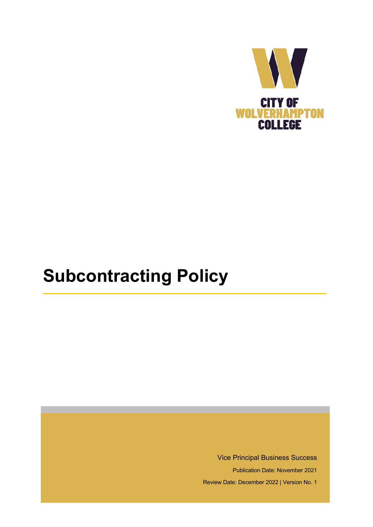

# **Subcontracting Policy**

Vice Principal Business Success

Publication Date: November 2021

Review Date: December 2022 | Version No. 1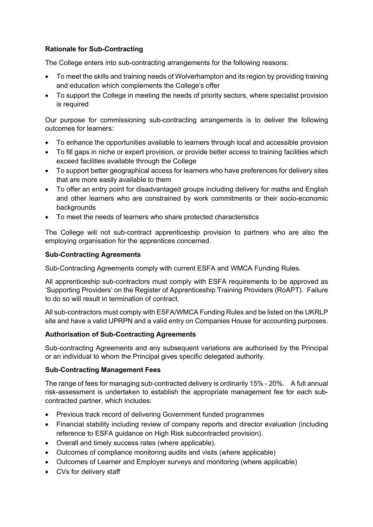# **Rationale for Sub-Contracting**

The College enters into sub-contracting arrangements for the following reasons:

- To meet the skills and training needs of Wolverhampton and its region by providing training and education which complements the College's offer
- To support the College in meeting the needs of priority sectors, where specialist provision is required

Our purpose for commissioning sub-contracting arrangements is to deliver the following outcomes for learners:

- To enhance the opportunities available to learners through local and accessible provision
- To fill gaps in niche or expert provision, or provide better access to training facilities which exceed facilities available through the College
- To support better geographical access for learners who have preferences for delivery sites that are more easily available to them
- To offer an entry point for disadvantaged groups including delivery for maths and English and other learners who are constrained by work commitments or their socio-economic backgrounds
- To meet the needs of learners who share protected characteristics

The College will not sub-contract apprenticeship provision to partners who are also the employing organisation for the apprentices concerned.

# **Sub-Contracting Agreements**

Sub-Contracting Agreements comply with current ESFA and WMCA Funding Rules.

All apprenticeship sub-contractors must comply with ESFA requirements to be approved as 'Supporting Providers' on the Register of Apprenticeship Training Providers (RoAPT). Failure to do so will result in termination of contract.

All sub-contractors must comply with ESFA/WMCA Funding Rules and be listed on the UKRLP site and have a valid UPRPN and a valid entry on Companies House for accounting purposes.

# **Authorisation of Sub-Contracting Agreements**

Sub-contracting Agreements and any subsequent variations are authorised by the Principal or an individual to whom the Principal gives specific delegated authority.

#### **Sub-Contracting Management Fees**

The range of fees for managing sub-contracted delivery is ordinarily 15% - 20%. A full annual risk-assessment is undertaken to establish the appropriate management fee for each subcontracted partner, which includes:

- Previous track record of delivering Government funded programmes
- Financial stability including review of company reports and director evaluation (including reference to ESFA guidance on High Risk subcontracted provision).
- Overall and timely success rates (where applicable).
- Outcomes of compliance monitoring audits and visits (where applicable)
- Outcomes of Learner and Employer surveys and monitoring (where applicable)
- CVs for delivery staff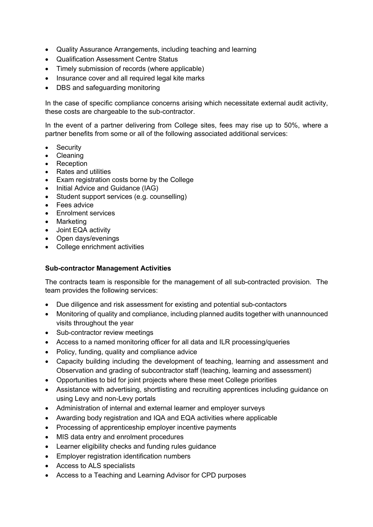- Quality Assurance Arrangements, including teaching and learning
- Qualification Assessment Centre Status
- Timely submission of records (where applicable)
- Insurance cover and all required legal kite marks
- DBS and safeguarding monitoring

In the case of specific compliance concerns arising which necessitate external audit activity, these costs are chargeable to the sub-contractor.

In the event of a partner delivering from College sites, fees may rise up to 50%, where a partner benefits from some or all of the following associated additional services:

- Security
- Cleaning
- Reception
- Rates and utilities
- Exam registration costs borne by the College
- Initial Advice and Guidance (IAG)
- Student support services (e.g. counselling)
- Fees advice
- Enrolment services
- Marketing
- Joint EQA activity
- Open days/evenings
- College enrichment activities

#### **Sub-contractor Management Activities**

The contracts team is responsible for the management of all sub-contracted provision. The team provides the following services:

- Due diligence and risk assessment for existing and potential sub-contactors
- Monitoring of quality and compliance, including planned audits together with unannounced visits throughout the year
- Sub-contractor review meetings
- Access to a named monitoring officer for all data and ILR processing/queries
- Policy, funding, quality and compliance advice
- Capacity building including the development of teaching, learning and assessment and Observation and grading of subcontractor staff (teaching, learning and assessment)
- Opportunities to bid for joint projects where these meet College priorities
- Assistance with advertising, shortlisting and recruiting apprentices including guidance on using Levy and non-Levy portals
- Administration of internal and external learner and employer surveys
- Awarding body registration and IQA and EQA activities where applicable
- Processing of apprenticeship employer incentive payments
- MIS data entry and enrolment procedures
- Learner eligibility checks and funding rules guidance
- Employer registration identification numbers
- Access to ALS specialists
- Access to a Teaching and Learning Advisor for CPD purposes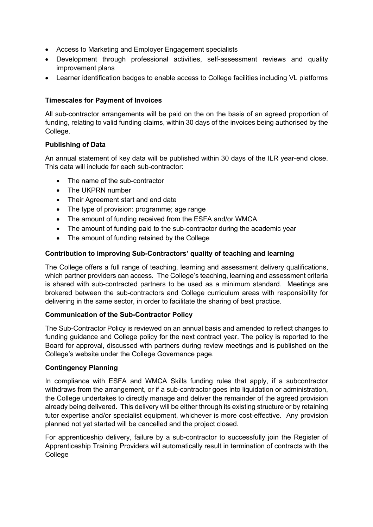- Access to Marketing and Employer Engagement specialists
- Development through professional activities, self-assessment reviews and quality improvement plans
- Learner identification badges to enable access to College facilities including VL platforms

# **Timescales for Payment of Invoices**

All sub-contractor arrangements will be paid on the on the basis of an agreed proportion of funding, relating to valid funding claims, within 30 days of the invoices being authorised by the College.

# **Publishing of Data**

An annual statement of key data will be published within 30 days of the ILR year-end close. This data will include for each sub-contractor:

- The name of the sub-contractor
- The UKPRN number
- Their Agreement start and end date
- The type of provision: programme: age range
- The amount of funding received from the ESFA and/or WMCA
- The amount of funding paid to the sub-contractor during the academic year
- The amount of funding retained by the College

# **Contribution to improving Sub-Contractors' quality of teaching and learning**

The College offers a full range of teaching, learning and assessment delivery qualifications, which partner providers can access. The College's teaching, learning and assessment criteria is shared with sub-contracted partners to be used as a minimum standard. Meetings are brokered between the sub-contractors and College curriculum areas with responsibility for delivering in the same sector, in order to facilitate the sharing of best practice.

#### **Communication of the Sub-Contractor Policy**

The Sub-Contractor Policy is reviewed on an annual basis and amended to reflect changes to funding guidance and College policy for the next contract year. The policy is reported to the Board for approval, discussed with partners during review meetings and is published on the College's website under the College Governance page.

#### **Contingency Planning**

In compliance with ESFA and WMCA Skills funding rules that apply, if a subcontractor withdraws from the arrangement, or if a sub-contractor goes into liquidation or administration, the College undertakes to directly manage and deliver the remainder of the agreed provision already being delivered. This delivery will be either through its existing structure or by retaining tutor expertise and/or specialist equipment, whichever is more cost-effective. Any provision planned not yet started will be cancelled and the project closed.

For apprenticeship delivery, failure by a sub-contractor to successfully join the Register of Apprenticeship Training Providers will automatically result in termination of contracts with the **College**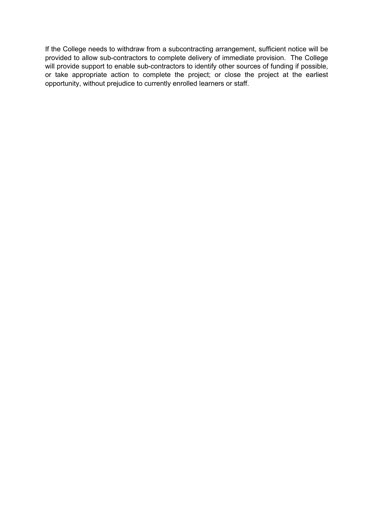If the College needs to withdraw from a subcontracting arrangement, sufficient notice will be provided to allow sub-contractors to complete delivery of immediate provision. The College will provide support to enable sub-contractors to identify other sources of funding if possible, or take appropriate action to complete the project; or close the project at the earliest opportunity, without prejudice to currently enrolled learners or staff.